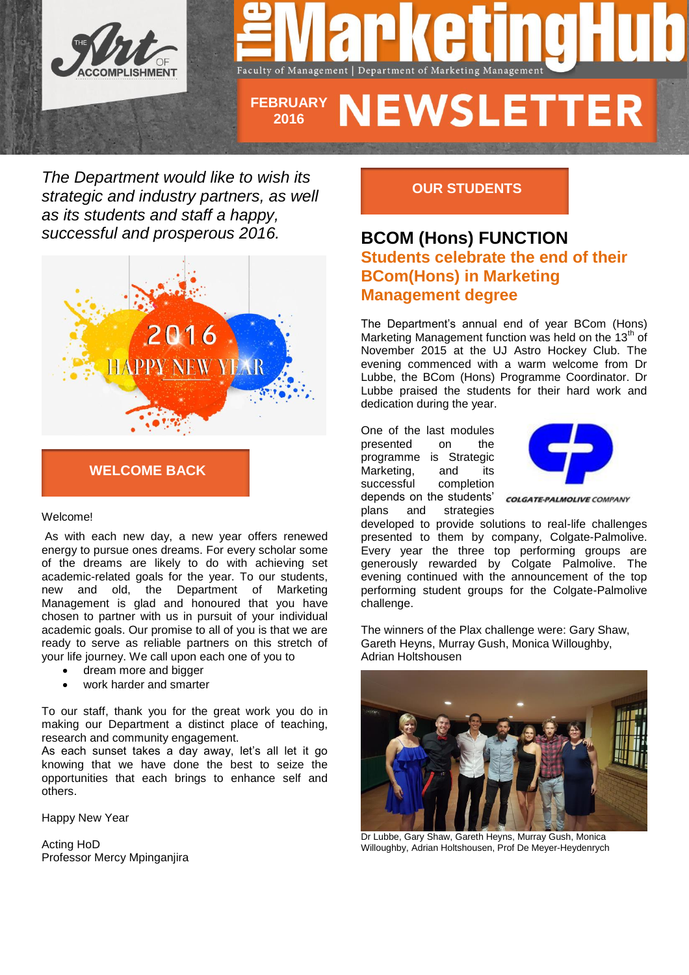

*The Department would like to wish its strategic and industry partners, as well as its students and staff a happy, successful and prosperous 2016.* 



## **WELCOME BACK**

#### Welcome!

As with each new day, a new year offers renewed energy to pursue ones dreams. For every scholar some of the dreams are likely to do with achieving set academic-related goals for the year. To our students, new and old, the Department of Marketing Management is glad and honoured that you have chosen to partner with us in pursuit of your individual academic goals. Our promise to all of you is that we are ready to serve as reliable partners on this stretch of your life journey. We call upon each one of you to

- dream more and bigger
- work harder and smarter

To our staff, thank you for the great work you do in making our Department a distinct place of teaching, research and community engagement.

As each sunset takes a day away, let's all let it go knowing that we have done the best to seize the opportunities that each brings to enhance self and others.

Happy New Year

Acting HoD Professor Mercy Mpinganjira

## **OUR STUDENTS**

# **BCOM (Hons) FUNCTION Students celebrate the end of their BCom(Hons) in Marketing Management degree**

The Department's annual end of year BCom (Hons) Marketing Management function was held on the 13<sup>th</sup> of November 2015 at the UJ Astro Hockey Club. The evening commenced with a warm welcome from Dr Lubbe, the BCom (Hons) Programme Coordinator. Dr Lubbe praised the students for their hard work and dedication during the year.

One of the last modules presented on the programme is Strategic Marketing, and its successful completion depends on the students' plans and strategies



**COLGATE-PALMOLIVE COMPANY** 

developed to provide solutions to real-life challenges presented to them by company, Colgate-Palmolive. Every year the three top performing groups are generously rewarded by Colgate Palmolive. The evening continued with the announcement of the top performing student groups for the Colgate-Palmolive challenge.

The winners of the Plax challenge were: Gary Shaw, Gareth Heyns, Murray Gush, Monica Willoughby, Adrian Holtshousen



Dr Lubbe, Gary Shaw, Gareth Heyns, Murray Gush, Monica Willoughby, Adrian Holtshousen, Prof De Meyer-Heydenrych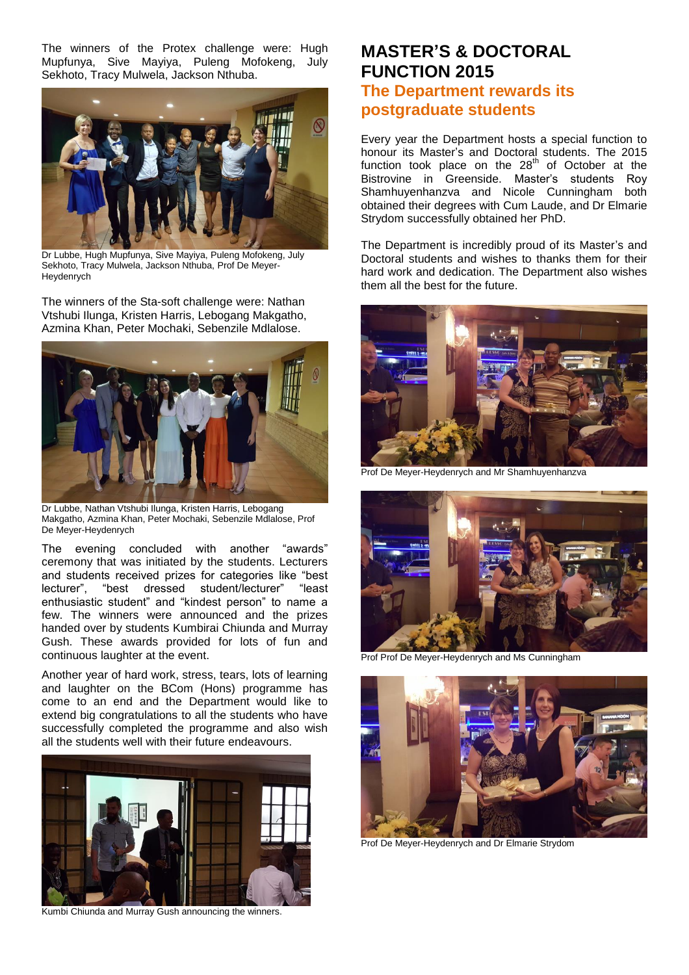The winners of the Protex challenge were: Hugh Mupfunya, Sive Mayiya, Puleng Mofokeng, July Sekhoto, Tracy Mulwela, Jackson Nthuba.



Dr Lubbe, Hugh Mupfunya, Sive Mayiya, Puleng Mofokeng, July Sekhoto, Tracy Mulwela, Jackson Nthuba, Prof De Meyer-Heydenrych

The winners of the Sta-soft challenge were: Nathan Vtshubi Ilunga, Kristen Harris, Lebogang Makgatho, Azmina Khan, Peter Mochaki, Sebenzile Mdlalose.



Dr Lubbe, Nathan Vtshubi Ilunga, Kristen Harris, Lebogang Makgatho, Azmina Khan, Peter Mochaki, Sebenzile Mdlalose, Prof De Meyer-Heydenrych

The evening concluded with another "awards" ceremony that was initiated by the students. Lecturers and students received prizes for categories like "best lecturer", "best dressed student/lecturer" "least enthusiastic student" and "kindest person" to name a few. The winners were announced and the prizes handed over by students Kumbirai Chiunda and Murray Gush. These awards provided for lots of fun and continuous laughter at the event.

Another year of hard work, stress, tears, lots of learning and laughter on the BCom (Hons) programme has come to an end and the Department would like to extend big congratulations to all the students who have successfully completed the programme and also wish all the students well with their future endeavours.



Kumbi Chiunda and Murray Gush announcing the winners.

# **MASTER'S & DOCTORAL FUNCTION 2015 The Department rewards its postgraduate students**

Every year the Department hosts a special function to honour its Master's and Doctoral students. The 2015 function took place on the  $28<sup>th</sup>$  of October at the Bistrovine in Greenside. Master's students Roy Shamhuyenhanzva and Nicole Cunningham both obtained their degrees with Cum Laude, and Dr Elmarie Strydom successfully obtained her PhD.

The Department is incredibly proud of its Master's and Doctoral students and wishes to thanks them for their hard work and dedication. The Department also wishes them all the best for the future.



Prof De Meyer-Heydenrych and Mr Shamhuyenhanzva



Prof Prof De Meyer-Heydenrych and Ms Cunningham



Prof De Meyer-Heydenrych and Dr Elmarie Strydom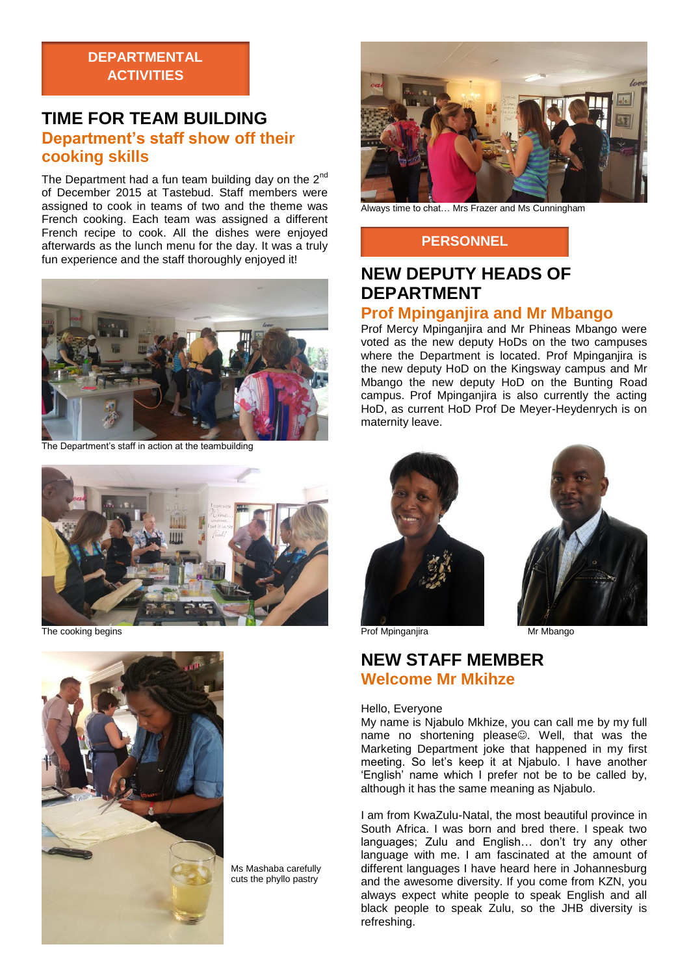## **DEPARTMENTAL ACTIVITIES**

# **TIME FOR TEAM BUILDING Department's staff show off their cooking skills**

The Department had a fun team building day on the  $2^{nd}$ of December 2015 at Tastebud. Staff members were assigned to cook in teams of two and the theme was French cooking. Each team was assigned a different French recipe to cook. All the dishes were enjoyed afterwards as the lunch menu for the day. It was a truly fun experience and the staff thoroughly enjoyed it!



The Department's staff in action at the teambuilding



The cooking begins



Ms Mashaba carefully cuts the phyllo pastry



Always time to chat… Mrs Frazer and Ms Cunningham

## **PERSONNEL**

# **NEW DEPUTY HEADS OF DEPARTMENT Prof Mpinganjira and Mr Mbango**

Prof Mercy Mpinganjira and Mr Phineas Mbango were voted as the new deputy HoDs on the two campuses where the Department is located. Prof Mpinganjira is the new deputy HoD on the Kingsway campus and Mr Mbango the new deputy HoD on the Bunting Road campus. Prof Mpinganjira is also currently the acting HoD, as current HoD Prof De Meyer-Heydenrych is on maternity leave.





Prof Mpinganjira **Mr Mbango** 

# **NEW STAFF MEMBER Welcome Mr Mkihze**

#### Hello, Everyone

My name is Njabulo Mkhize, you can call me by my full name no shortening please. Well, that was the Marketing Department joke that happened in my first meeting. So let's keep it at Njabulo. I have another 'English' name which I prefer not be to be called by, although it has the same meaning as Njabulo.

I am from KwaZulu-Natal, the most beautiful province in South Africa. I was born and bred there. I speak two languages; Zulu and English… don't try any other language with me. I am fascinated at the amount of different languages I have heard here in Johannesburg and the awesome diversity. If you come from KZN, you always expect white people to speak English and all black people to speak Zulu, so the JHB diversity is refreshing.